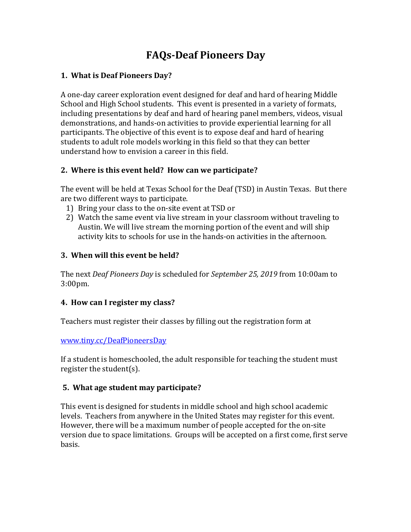# **FAQs-Deaf Pioneers Day**

#### **1. What is Deaf Pioneers Day?**

A one-day career exploration event designed for deaf and hard of hearing Middle School and High School students. This event is presented in a variety of formats, including presentations by deaf and hard of hearing panel members, videos, visual demonstrations, and hands-on activities to provide experiential learning for all participants. The objective of this event is to expose deaf and hard of hearing students to adult role models working in this field so that they can better understand how to envision a career in this field.

#### 2. Where is this event held? How can we participate?

The event will be held at Texas School for the Deaf (TSD) in Austin Texas. But there are two different ways to participate.

- 1) Bring your class to the on-site event at TSD or
- 2) Watch the same event via live stream in your classroom without traveling to Austin. We will live stream the morning portion of the event and will ship activity kits to schools for use in the hands-on activities in the afternoon.

## **3. When will this event be held?**

The next *Deaf Pioneers Day* is scheduled for *September 25, 2019* from 10:00am to 3:00pm.

#### **4. How can I register my class?**

Teachers must register their classes by filling out the registration form at

www.tiny.cc/DeafPioneersDay

If a student is homeschooled, the adult responsible for teaching the student must register the student $(s)$ .

#### **5. What age student may participate?**

This event is designed for students in middle school and high school academic levels. Teachers from anywhere in the United States may register for this event. However, there will be a maximum number of people accepted for the on-site version due to space limitations. Groups will be accepted on a first come, first serve basis.